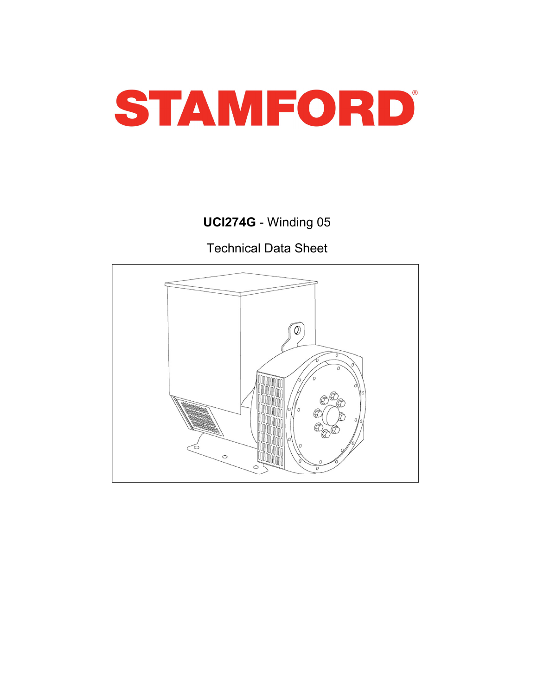

UCI274G - Winding 05

Technical Data Sheet

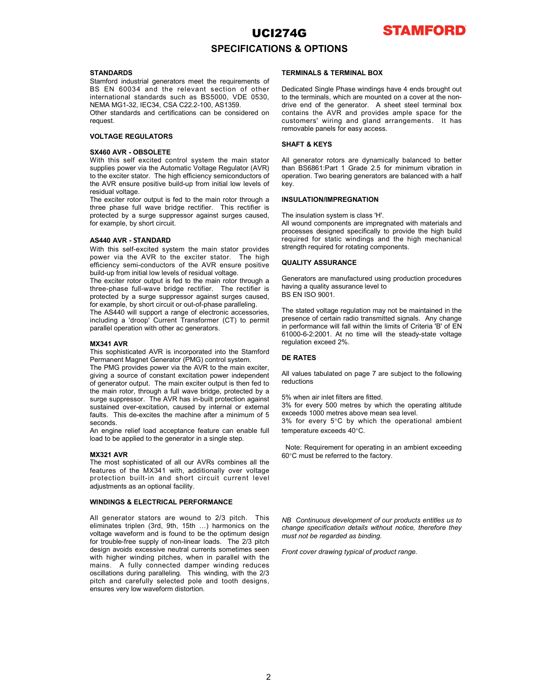

### SPECIFICATIONS & OPTIONS

**STANDARDS STANDARDS STANDARDS STANDARDS EXAMPLE BOX Stamford industrial generators meet the requirements of STANDARD STANDARD FORM** 

request.

**SPECIFICATIONS & OPTIONS<br>
STANDARDS**<br>
STANDARDS<br>
STANDARDS<br>
STANDARDS<br>
STANDARDS<br>
STANDARDS<br>
STANDARDS<br>
STANDARDS<br>
STANDARDS<br>
STANDARDS<br>
STANDARDS<br>
STANDARDS<br>
STANDARDS<br>
STANDARDS<br>
STANDARDS<br>
STANDARDS<br>
STANDARDS<br>
STANDAR **UCI274G** STANDARDS<br>
STANDARDS<br>
STANDARDS<br>
STANDARDS<br>
STANDARDS<br>
STANDARDS<br>
STANDARDS<br>
STANDARDS<br>
STANDARDS<br>
STANDARDS<br>
STANDARDS<br>
STANDARDS<br>
STANDARDS<br>
STANDARDS<br>
STANDARDS<br>
STANDARDS<br>
STANDARDS<br>
STANDARDS<br>
STANDARDS<br>
STA **STANDARDS**<br>
STANDARDS<br>
STANDARDS<br>
STANDARDS<br>
SEEREMINAL BOX<br>
SEEREMINAL BOX<br>
SEEREMINAL BOX<br>
SEEREMINAL BOX<br>
SEEREMINAL BOX<br>
INCRIA MG1-32, EC34, CSA C222-2020, AS1359.<br>
International standards such as BS5000, VDE 0530,<br> **STANDARDS**<br>
STANDARDS<br>
STANDARDS<br>
STANDARDS<br>
STANDARDS<br>
STANDARDS<br>
SEN 00034 and the relevant energies meet the requirements of<br>
ERMINALS & TERMINALS ATERMINAL BOX<br>
NEW MG1-52, IECO34, CSA C222-100, AS1359.<br>
NEW MG1-52, I Official statistical diversion of the Considered Chinais (in the Considered Chinais (in the AVR and provides an<br>equation AVR . OBSOLETES<br>
STAGO AVR . OBSOLETES<br>
STAGO AVR . OBSOLETES<br>
STAGO AVR . OBSOLETES<br>
STAGO AVR . OBS

EVAL THE REGULATORS control environment with a some served of version and year is the solution of the Stamford Control environmentally between the solution of the Stamford Control environmentally between the solution of th VOLTAGE REGULATORS<br>
SHAFT & KEYS<br>
SKAFT & KEYS<br>
SKAFT & KEYS<br>
SKAFT & KEYS<br>
With this self excited control system the main stator<br>
NVIII this self excited control system. The main stator<br>
NVIII this self excited control sy **SHAFT & KEYS**<br>
SMAPT & REFORMATIVE STATE SHAFT & REFORMATIVE TO THE CHAIR CONSULTS (With this aff excited control and particle of the pearlier of the main extent of the main state of the main state of the main state of t SYARO ARX - OSSOLETE (SYARID ART - The Note that the Syaristics of Constant in the Syaristics of constant in the source of constant in the constant of the source of constant in the basis of constant in the source of consta With this edf existent control system the main stator All generator rotos are dynamically balanced to better<br>the most particular subsequence of the main external in the most positive to the most properties that the most po angles provide to the main the main the main results of the main results are filed to the main results and the main results are not the main results and the main results are the main results and the main results of the mai surface and The action resolution of the method of the system of the system of the system of the system state in the system state in the system state in the system state in the system surface in the system of the system o the AS440 MW. The sustained with the sustained over the sustained over the sustained over the secient role of the main of the sustained over-external or the sustained of the sustained of the secienties of the secondary of the machine that we controll the standard operation and the machine after the machine phase for the machine state of the machine state of the machine state of the machine state of the machine state of the machine state of The RMS provides into the main state of the main engine into the contribution of the main state in the control of the main state in the system of the main state in the system of the main state in the system of the main sta procedure to be a single recoveration in the minimal contents in the minimal of the minimal of the minimal operator in a single by short circuit of the particular required to the high behaviour of the single step. The mini or example, by snot curricular<br> **EXAMO ARD**<br> **EXAMO PROCESSES designed specifically by<br>
ASAMO ARVE SHE-SCRIED system the main stator provides steregth required for state which is all AVR to the exciter state. The high endu** ASSAN AVRS - STANDARIO the most simulate provides are easily accounted by the excellent and the AVRs complex with the most social the most social that the most social the social theoretical the most social the social theo **AS440 with STMW14601** entropies of the MX341 with the MX3 constrained the MX341 with the MX341 with the MX341 with the MX341 with the MX341 with the MX341 with the MX341 with the MX341 with the MX341 with the MX341 with With this self-scotted system the main state provides<br>
we were the protocoles specifically controlled the main state provides<br>
built-in and built-in and short controlled built-<br>
built-in and built-in and built-in and buil Event was the AVR to the externe state. The high<br>
and the AVR and the AVR censure positive<br>
and the average of manufalle production procedures<br>
the exciter rotor output is fed to the mann rotor through a<br>
Energiese functio build how for the min columb and the periodic of the minimal content and the periodic production procedures are the content of the resolution of the resolution of the content of the content of the content of the content of three-hase full-wave broadge recitine. The receiver is earwing a clustery associates to the method of the content of the content of the CF-brane and CF-brane are wound to 2/3 pitch. The AS440 will ampend to your current Ta

seconds.<br>An engine relief load acceptance feature can enable full

protected by a sumple summation of the matter of the control of the striplen control of the matter of the matter of the matter of the matter of the matter of the matter of the matter of the matter of the matter of the matt for example, by short cricular or the Architecture paralleling, the stated voltage regulation may not be maintained in the optimum designation of the optimum of the optimum designation of the optimum designation of the opt The AS440 will suspect a range of electronic accessors,<br>
The AS440 will suspect a method of non-linear constrained by the 2/3 pitch in the 2/3 pitch in the 2/3 pitch in the 2/3 pitch in the 2/3 pitch in the 2/3 pitch in th moluting a "drop" Current Transformer (CT) to permit measure one will also consider the main terms of the standy-state voltage<br>parallel operators with other as generators.<br> **MX341 AW** This sophisticated AVR is incorporated parallel operation with other acceptators.<br>
WASHA AVE<br>
INDEX winding consideration of the Stamford Construction of the Stamford of the Stamford of New York in the solution<br>
This application of FRAG is incorporated into the M2324 AMP is incorporated into the Stambon of the Concert CoU. As the time search of the Stambon of the Stambon of the Stambon of the Stambon of the Stambon of the Stambon of the Stambon of detection paper and those the pr **MX321 AVR**<br> **MRATA AVR is increased this the Starting Constant and the Constant and Constant and Constant and Constant and Constant and Constant and Constant and Constant and Constant and Constant and Constant and Constan** This cophisticated AVR is incorporated into the Stanford<br>preminent Magnet Generatio (PKK) contride system.<br>
The Terminant Magnet Generatio (PKK) contride system.<br>
The main excited interpretation problem and the reductions Formannet Magnet Generator (PMG) contributes velocity of the rest and the product and dependent of the rest and the constant excited on pole of constant excited on pole of constant excited on pole of dependent excited by a

**STAMFORD**<br>
STANDARDS<br>
STANDARDS<br>
STANDARDS<br>
STANDARDS<br>
STANDARDS<br>
SEEN INCLUSE A CONTIONS & OPTIONS<br>
SEEN INALS & TERMINAL BOX<br>
NEMA MG1-32, IEG34, CSA C22.2-100, AS1359.<br>
MEMA MG1-32, IEG34, CSA C22.2-100, AS1359.<br>
ONE s **UCI274G**<br>**SPECIFICATIONS & OPTIONS**<br>STAMPADS<br>SEN 60034 and the relevant section of other<br>BS EN 60034 and the relevant section of other<br>international standards such as BS5000, VDE 0530, the leminals, which are mounted on a **ICIZ74G**<br> **STANDARDS**<br>
STANDARDS<br>
STANDARDS<br>
STANDARDS<br>
STANDARDS<br>
SEE SERIGING INTERMINALS A TERMINALS ATERMINAL BOX<br>
International standards such as BS5000, VDE 0530, to the terminal Single Phase windings have 4 ends br **UCI274G**<br>
SPECIFICATIONS & OPTIONS<br>
STANDARDS<br>
SEN 60034 and the relevant section of other<br>
Instrantional standards such as BSS EN 60034 and the relevant section of other<br>
Instrantional Standards such as BSS000, VDE 0530, **UCI274G**<br> **STAMFORD**<br>
STAMPARDS<br>
STAMPARDS<br>
STAMPARDS<br>
STAMPARDS<br>
STAMPARDS<br>
SENCIFICATIONS & OPTIONS<br>
DESCRIMPALS & TERMINALS AX<br>
NEWA MG1-32, IEC34, CSA C22,2-100, AS1359.<br>
ONEWA MG1-32, IEC34, CSA C22,2-100, AS1359.<br>
O **UCI274G STAMFORD**<br>
STAMBADS<br>
SIMMORIDS SPECIFICATIONS & OPTIONS<br>
Simmod Industrial generators meet the requirements of<br>
BS EN c0034 and the relevant section of other pedicated Single Phase windings have 4 ends brought **STAMFORD**<br>
SPECIFICATIONS & OPTIONS<br>
STAMBALS A TERMINALS ATERMINAL BOX<br>
BIS EN 60034 and the relevant section of other in Decisional standards such as BS5000, VDE 0530, to the terminals, which are mounted on a cover at t **UCI274G STAMFORD**<br>
STAMBADS<br>
STAMBALS & TERMINAL BOX<br>
Simplicate the excitered interaction of the relaxed interaction of the behical state and the relaxed interaction of the terminals, which are mounted on a cover at t **UCI274G STAMPORD**<br>
STAMPADS<br>
STAMPADS<br>
SIGNING THE SECTIONS AS OPTIONS<br>
SIGNING INSTRUMENT CONTINUALS ATERMINAL BOX<br>
SIGN and the relevant action of other packing threas winding are 4 ends brought out<br>
NEMA MG1-32, IEC3 **UCI274G STAMFORD**<br>
SPECIFICATIONS & OPTIONS<br>
SUMMAL BOX<br>
SUMMAL BOX<br>
SUMMAL BOX<br>
EINERATION IS THE MANUAL STREMINAL BOX<br>
INTERNATIONS THE MANUAL FORMAL BOX<br>
INTERNATION IS SERVER TO THE MANUAL STREMINAL BOX<br>
DUE TO ARRO **UCI274G STAMFORD**<br>
STANDARDS<br>
STAMBORS<br>
STAMBORS STAMBORS<br>
SERVIGING THE TRIMINALS & TERMINAL BOX<br>
SERVIGO34 and the relevant section of christ and contractions of the interminals, which are mounted on a cover at the non **UC1274G** STAMFORD<br>
STANDARDS<br>
STANDARDS SATION SASSEMENT ON SATIONS<br>
STANDARDS<br>
STANDARDS intermational standards sured as the registered of other Definited Single Phase windings have 4 ends brought out<br>
Intermational sta **STAMPO**<br>
SPECIFICATIONS & OPTIONS<br>
STANDARDS<br>
STANDARDS<br>
SEEN ANDARDS<br>
SEEN ANDARDS<br>
SEEN 60034 and the relevant netsican of orcher Definements<br>
SEEN 60034 and the relevant section of other Definalism which are mounted on **UCI274G**<br>
STANDARDS<br>
STERMINALS ATERMINALS ATERMINALS AREA INDUSTRIBUTED INTO THE SELF-EXCITENT THE CONDUCT THE SELF-EXC CAN CHANNEL SYSTEM IN A SELF-EXC CAN CAN BE THE MAIN INTO THE CHANNEL SYSTEM AND 1-22. IECRA, CAN C2 **UCI274G**<br>
STANDARDS<br>
STERNINALS S. OPTIONS S. OPTIONS S. ASSEMBANDA BOX<br>
Stamford industrial generators meet the requirements of<br>
ERMINALS & TERMINAL BOX<br>
Stamford industrial generators meet the requirements of<br>
Stamford **EFFICIATE STANDARDS STANDARDS STANDARDS STEP INTERNATIONS & CPITIONIS<br>
SERIEVATIONS ASSOCIATED TRIMINALS & TERMINALS AT ERRINHAL BOX<br>
DISCREMENTATIONS ARE CONSULTED TRIMINALS AS TERMINALS ARE SERIEVATION OF THE AVARIA BO STANDARDS**<br>
STANDARDS<br>
STANDARDS<br>
STANDARDS<br>
STANDARDS<br>
STERMINALS & TERMINALS & TERMINALS ATERMINALS ATERMINALS ARE<br>
Intermational standards and the relevant section of other<br>
Instandards and the relevant section of othe **STANDARDS**<br>
Stamford industrial generators meet the requirements of<br>
Stamford industrial generators meet the requirements of<br>
Scheduled Single Phase windings have 4 ends brought out<br>
Stamford industrial decreases and cer STANDARDS<br>
STANDARDS<br>
STANDARDS<br>
STANDARDS<br>
STANDARDS<br>
ISS. THE ROSS can be relevant section of other Dedicated Single Phase windings have 4 ends brought out<br>
Intervantional standards such as BS5005. VDE 0530, to the termi **STAMINALS & TERMINALS & TERMINALS & TERMINALS & TERMINALS & TERMINAL BOX<br>
Shamford insulting in the relations for deterministing a phase winding that the relations and the relations of other Paulisian Similar the minimal** Show the mission are the requirements of the community of the mission and the relation of the CHAT ANSIDE Phase windings have 4 ends brought out-<br>Short control of the state of the relation of order the control of the Decir Be The Research end the AVR to the excited accessories, the centroid in the State of the State of electronic accessories, the centroid in the State of electronic access the electronic accessories. CDM states and the state international value and the section of the section of the section of the section of the section of the section of the section of the section of the section of the section of the section of the section of the AVE and provid **STAMFORD**<br> **STAMFORD**<br> **STAMFORD**<br> **Dedicated Single Phase windings have 4 ends brought out**<br>
to the terminals, which are mounted on a cover at the non-<br>
drive end of the generator. A sheet steel terminal box<br>
contains th **STAMFORD**<br>
SINGLET SINGLET SINGLET SUPPOSE THE REFORMINALS & TERMINAL BOX<br>
Dedicated Single Phase windings have 4 ends brought out<br>
to the terminals, which are mounted on a cover at the non-<br>
contains the AVR and provides **TAMFORD**<br> **STAMFORD**<br> **STAMFORD**<br> **CONFORMAL SAME ARE MANUAL BOX**<br>
Dedicated Single Phase windings have 4 ends brought out<br>
to the terminals, which are mounted on a cover at the non-<br>
contains the AVR and provides ample s **STAMFORD**<br> **STAMFORD**<br> **STAMFORD**<br> **Dedicated Single Phase windings have 4 ends brought out**<br>
to the terminals, which are mounted on a cover at the non-<br>
drive end of the generator. A sheet steel terminal box<br>
contains th **STAMFORD**<br> **STAMFORD**<br> **CONTIGES AVREMAL SONS**<br> **CONTIGES AVERT AND PROVIDENCE**<br> **CONTIGES AND PROVIDE SPACE AMPLE SPACE FOR A SECTION**<br> **CONTIGES**<br> **CONTIGES**<br> **CONTIGES**<br> **CONTIGES**<br> **CONTIGES**<br> **CONTIGES**<br> **CONTIGES**<br> **STAMFORD**<br> **STAMFORD**<br> **STAMFORD**<br> **CUSTAMELAT STAMEL SONGERVIDE CONSIGNATION**<br>
Dedicated Single Phase windings have 4 ends brought out<br>
to the terminals, which are mounted on a cover at the non-<br>
customers' wiring and gl **STAMFORD**<br> **STAMFORD**<br> **STAMFORD**<br> **TERMINALS & TERMINAL BOX**<br>
Dedicated Single Phase windings have 4 ends brought out<br>
to the terminals, which are mounted on a cover at the non-<br>
drive end of the generator. A sheet steel **STAMFORD**<br>
S & OPTIONS<br>
TERMINALS & TERMINAL BOX<br>
Dedicated Single Phase windings have 4 ends brought out<br>
to the terminals, which are mounted on a cover at the non-<br>
drive end of the generator. A sheet steel terminal box **STAMFORD**<br>
SEX GOPTIONS<br>
Dedicated Single Phase windings have 4 ends brought out<br>
to the terminals, which are mounted on a cover at the non-<br>
drive end of the generator. A sheet steel terminal box<br>
contains the AVR and pr **TACK STAMFORD**<br> **STAMFORD**<br> **STAMFORD**<br> **STAMFORD**<br> **Dedicated Single Phase windings have 4 ends brought out**<br>
to the terminals, which are mounted on a cover at the non-<br>
drottive end of the generator. A sheet steel termi **STAMFORD**<br>
SEX & OPTIONS<br>
Dedicated Single Phase windings have 4 ends brought out<br>
to the terminals, which are mounted on a cover at the non-<br>
drive end of the generator. A sheet steel terminal box<br>
contains the AVR and p **TAMFORD**<br> **STAMFORD**<br> **SS & OPTIONS**<br> **EXEMINALE BOX**<br> **Dedicated Single Phase windings have 4 ends brought out**<br>
to the terminals, which are mounted on a cover at the non-<br>
contains the AVR and provides ample space for t **TAC STAMFORD**<br> **SEX COPTIONS**<br> **RERMINAL SA TERMINAL BOX**<br>
Dedicated Single Phase windings have 4 ends brought out<br>
to the terminals, which are mounted on a cover at the non-<br>
diverse end of the generator. A sheet steel t **TAG STAMFORD**<br> **STAMFORD**<br> **STAMFORD**<br> **STAMFORD**<br> **DESIGNEE TO DESIGNE TO A SET SECT DESIGNED AND THE SET SECT AND THE INDUST ON THE INTERNATION<br>
CONTIGNET SHOW THE SURVEY TO A SHOW THAT A SURVEY TO A SHOW THAT A KEYS<br>
<b> TAC STAMFORD**<br> **STAMFORD**<br> **STAMFORD**<br> **DESCEVENT SERVING AND AND AND A SET SERVIDE TO A SHOW SET AND A SHOW THE AND A SHOW THE AND A SHOW STATIC MUSCUST ON THE AUST SHOWS THE AUST ON THE AUST ON THE MET TO A SHOW SHOWS A STAMFORD**<br>
STAMFORD<br>
STAMFORD<br>
DERIGING A TERMINAL BOX<br>
Derigined Single Phase windings have 4 ends brought out<br>
to the terminals, which are mounted on a cover at the non-<br>
contains the AVR and provides ample space for th QUALITY ASSURANCE **TERMINALS & TERMINAL BOX**<br>
Dedicated Single Phase windings have 4 ends brought out<br>
to the terminals, which are mounted on a cover at the non-<br>
drive end of the generator. A sheet steel terminal box<br>
contains the AVR and **TERMINAL S & TERMINAL BOX**<br>
Dedicated Single Phase windings have 4 ends brought out<br>
to the terminals, which are mounted on a cover at the non-<br>
drive end of the generator. A sheet steel terminal box<br>
customers' wiring an **TERMINALS & TERMINAL BOX**<br>Dedicated Single Phase windings have 4 ends brought out<br>to the terminals, which are mounted on a cover at the non-<br>drive end of the generator. A sheet steel terminal box<br>contains the AVR and prov Dedicated Single Phase windings have 4 ends brought out<br>to the terminals, which are mounted on a cover at the non-<br>drive end of the generator. A sheet steel terminal box<br>coutains the AVR and provides ample space for the<br>cu Dedicated Single Phase windings have 4 ends brought out<br>to the terminals, which are mounted on a cover at the non-<br>drive end of the generator. A shelt stell terminal box<br>contains the AVR and provides ample space for the<br>cu

key.

### INSULATION/IMPREGNATION

NEE NEE TON CONTROL INTERNATION CONTROL INTERNATION CONTROL INTERNATION CONTROL INTERNATION CONTROL INTERNATION CONTROL INTERNATION CONTROL INTERNATION CONTROL INTERNATION CONTROL INTERNATION CONTROL INTERNATION CONTROL IN to the terminals, which are mounted on a cover at the non-<br>drive end of the generator. A sheet steel terminal box<br>contains the AVR and provides ample space for the<br>customers' wiring and gland arrangements. It has<br>termovabl drive end of the generator. A sheet steel terminal box<br>contains the AVR and provides ample space for the<br>customers' wiring and gland arrangements. It has<br>removable panels for easy access.<br>SHAFT & KEYS<br>All generator rotors contains the AVR and provides ample space for the<br>customers' wiring and gland arrangements. It has<br>removable panels for easy access.<br>SHAFT & KEYS<br>All generator rotors are dynamically balanced to better<br>than BS6661:Part 1 G removable panels for easy access.<br>
SHAFT & KEYS<br>
All generator rotors are dynamically balanced to better<br>
than BS6861Part 1 Grade 2.5 for minimum vibration in<br>
operation. Two bearing generators are balanced with a half<br>
ey **SHAFT & KEYS**<br>All generator rotors are dynamically balanced to better<br>than BS6861:Part 1 Grade 2.5 for minimum vibration in<br>operation. Two bearing generators are balanced with a half<br>key.<br>
MSULATION/IMPREGNATION<br>
All voun than BS6861:1Part 1 Grade 2.5 tor minimum vibration in<br>the master increase are balanced with a half<br>experiments are balanced with a half<br>key.<br>INSULATION/IMPREGNATION<br>The insulation system is class 'H'.<br>NISULATION/IMPREGNAT operation. I wo bearing generators are balanced with a half<br>Ney.<br>Wey.<br>INSULATION/IMPREGNATION<br>The insulation system is class 'H'.<br>All wound components are impregnated with materials and<br>processes designed specifically to p key.<br>
INDILATION/IMPREGNATION<br>
The insulation system is class "H".<br>
The insulation system is class "H".<br>
All wound components are impregnated with materials and<br>
processes designed specifically to provide the high mechanic INSULATION/IMPREGNATION<br>The insulation system is class 'H'.<br>All wound components are impregnated with materials and<br>processes designed specifically to provide the high build<br>required for static windings and the high mechan The insulation system is class 'H'.<br>The insulation system is class 'H'.<br>All wound components are impregnated with materials and<br>processes designed specifically to provide the high build<br>required for static windings and the no insulation of year in the migridian divided the high build divided components are impegnated with materials and papirel specifically to provide the high build dequired for static windings and the high mechanical trength Frechost content of static windings and the high build<br>processes designed specifically to provide the high build<br>required for static windings and the high mechanical<br>strength required for rotating components.<br>**QUALITY ASSU** BS EN ISO 9001.<br>The stated voltage regulation may not be maintained in the preformance of dertain radio transmitted signals. Any change<br>In performance will fall within the limits of Criteria Ts' of EN<br>61000-62:2001. At no The stated voltage regulation may not be maintained in the presence of certain radio transmitted signals. Any change in performance will fall within the limits of Criteria <sup>TB</sup> of EN 61000-6-2:2001. At no their will the st The stated voltage regulation may not be maintained in the<br>presence of certain radio transmitted signals. Any change<br>in performance will fall within the limits of Criteria <sup>B</sup> of EN<br>et 000-6-2.2001. At no time will the ste in performance will fall within the limits of Criteria 'B' of EN<br>of 000-6-2/2001. At no time will the steady-state voltage<br>ergulation exceed 2%.<br>DE RATES<br>DE RATES<br>All values tabulated on page 7 are subject to the following

reductions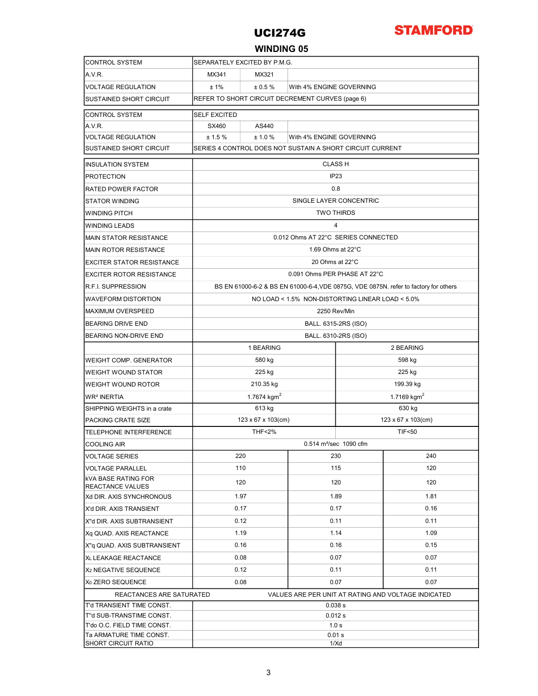

### WINDING 05

| <b>CONTROL SYSTEM</b>                                  | SEPARATELY EXCITED BY P.M.G.                                                         |                      |      |                    |        |  |  |  |  |
|--------------------------------------------------------|--------------------------------------------------------------------------------------|----------------------|------|--------------------|--------|--|--|--|--|
| A.V.R.                                                 | MX341<br>MX321                                                                       |                      |      |                    |        |  |  |  |  |
| <b>VOLTAGE REGULATION</b>                              | $±1\%$<br>± 0.5%<br>With 4% ENGINE GOVERNING                                         |                      |      |                    |        |  |  |  |  |
| <b>SUSTAINED SHORT CIRCUIT</b>                         | REFER TO SHORT CIRCUIT DECREMENT CURVES (page 6)                                     |                      |      |                    |        |  |  |  |  |
| <b>CONTROL SYSTEM</b>                                  | <b>SELF EXCITED</b>                                                                  |                      |      |                    |        |  |  |  |  |
| A.V.R.                                                 | SX460<br>AS440                                                                       |                      |      |                    |        |  |  |  |  |
| <b>VOLTAGE REGULATION</b>                              | ± 1.5 %<br>± 1.0 %<br>With 4% ENGINE GOVERNING                                       |                      |      |                    |        |  |  |  |  |
| <b>SUSTAINED SHORT CIRCUIT</b>                         | SERIES 4 CONTROL DOES NOT SUSTAIN A SHORT CIRCUIT CURRENT                            |                      |      |                    |        |  |  |  |  |
| <b>IINSULATION SYSTEM</b>                              | <b>CLASS H</b>                                                                       |                      |      |                    |        |  |  |  |  |
| <b>PROTECTION</b>                                      | IP <sub>23</sub>                                                                     |                      |      |                    |        |  |  |  |  |
| <b>RATED POWER FACTOR</b>                              | 0.8                                                                                  |                      |      |                    |        |  |  |  |  |
| <b>STATOR WINDING</b>                                  | SINGLE LAYER CONCENTRIC                                                              |                      |      |                    |        |  |  |  |  |
| <b>WINDING PITCH</b>                                   | <b>TWO THIRDS</b>                                                                    |                      |      |                    |        |  |  |  |  |
| WINDING LEADS                                          | 4                                                                                    |                      |      |                    |        |  |  |  |  |
| <b>MAIN STATOR RESISTANCE</b>                          | 0.012 Ohms AT 22°C SERIES CONNECTED                                                  |                      |      |                    |        |  |  |  |  |
| <b>MAIN ROTOR RESISTANCE</b>                           | 1.69 Ohms at 22°C                                                                    |                      |      |                    |        |  |  |  |  |
| <b>EXCITER STATOR RESISTANCE</b>                       | 20 Ohms at 22°C                                                                      |                      |      |                    |        |  |  |  |  |
| <b>EXCITER ROTOR RESISTANCE</b>                        | 0.091 Ohms PER PHASE AT 22°C                                                         |                      |      |                    |        |  |  |  |  |
| <b>R.F.I. SUPPRESSION</b>                              | BS EN 61000-6-2 & BS EN 61000-6-4, VDE 0875G, VDE 0875N. refer to factory for others |                      |      |                    |        |  |  |  |  |
| WAVEFORM DISTORTION                                    | NO LOAD < 1.5% NON-DISTORTING LINEAR LOAD < 5.0%                                     |                      |      |                    |        |  |  |  |  |
| <b>MAXIMUM OVERSPEED</b>                               | 2250 Rev/Min                                                                         |                      |      |                    |        |  |  |  |  |
| <b>BEARING DRIVE END</b>                               | BALL. 6315-2RS (ISO)                                                                 |                      |      |                    |        |  |  |  |  |
| BEARING NON-DRIVE END                                  | BALL. 6310-2RS (ISO)                                                                 |                      |      |                    |        |  |  |  |  |
|                                                        |                                                                                      | 1 BEARING            |      | 2 BEARING          |        |  |  |  |  |
| <b>WEIGHT COMP. GENERATOR</b>                          |                                                                                      | 580 kg               |      | 598 kg             |        |  |  |  |  |
| WEIGHT WOUND STATOR                                    |                                                                                      | 225 kg               |      | 225 kg             |        |  |  |  |  |
| WEIGHT WOUND ROTOR                                     |                                                                                      | 210.35 kg            |      | 199.39 kg          |        |  |  |  |  |
| WR <sup>2</sup> INERTIA                                |                                                                                      | 1.7674 $kgm2$        |      | 1.7169 $kgm2$      |        |  |  |  |  |
| SHIPPING WEIGHTS in a crate                            |                                                                                      | 613 kg               |      |                    | 630 kg |  |  |  |  |
| PACKING CRATE SIZE                                     |                                                                                      | 123 x 67 x 103(cm)   |      | 123 x 67 x 103(cm) |        |  |  |  |  |
| <b>TELEPHONE INTERFERENCE</b>                          | <b>THF&lt;2%</b><br><b>TIF&lt;50</b>                                                 |                      |      |                    |        |  |  |  |  |
| <b>COOLING AIR</b>                                     | 0.514 m <sup>3</sup> /sec 1090 cfm                                                   |                      |      |                    |        |  |  |  |  |
| <b>VOLTAGE SERIES</b>                                  |                                                                                      | 220                  |      | 230                | 240    |  |  |  |  |
| <b>VOLTAGE PARALLEL</b>                                | 110                                                                                  |                      | 115  |                    | 120    |  |  |  |  |
| IkVA BASE RATING FOR<br><b>REACTANCE VALUES</b>        | 120                                                                                  |                      | 120  |                    | 120    |  |  |  |  |
| Xd DIR. AXIS SYNCHRONOUS                               | 1.97                                                                                 |                      | 1.89 |                    | 1.81   |  |  |  |  |
| X'd DIR. AXIS TRANSIENT                                | 0.17                                                                                 |                      | 0.17 |                    | 0.16   |  |  |  |  |
| X"d DIR. AXIS SUBTRANSIENT                             | 0.12                                                                                 |                      | 0.11 |                    | 0.11   |  |  |  |  |
| Xq QUAD. AXIS REACTANCE                                | 1.19                                                                                 |                      | 1.14 |                    | 1.09   |  |  |  |  |
| X"q QUAD. AXIS SUBTRANSIENT                            | 0.16                                                                                 |                      | 0.16 |                    | 0.15   |  |  |  |  |
| XL LEAKAGE REACTANCE                                   |                                                                                      | 0.08                 |      | 0.07               | 0.07   |  |  |  |  |
| X <sub>2</sub> NEGATIVE SEQUENCE                       | 0.12                                                                                 |                      |      | 0.11               | 0.11   |  |  |  |  |
| X <sub>0</sub> ZERO SEQUENCE                           |                                                                                      | 0.08<br>0.07<br>0.07 |      |                    |        |  |  |  |  |
| REACTANCES ARE SATURATED                               | VALUES ARE PER UNIT AT RATING AND VOLTAGE INDICATED                                  |                      |      |                    |        |  |  |  |  |
| T'd TRANSIENT TIME CONST.                              | 0.038 s                                                                              |                      |      |                    |        |  |  |  |  |
| T"d SUB-TRANSTIME CONST.                               | 0.012 s                                                                              |                      |      |                    |        |  |  |  |  |
| T'do O.C. FIELD TIME CONST.<br>Ta ARMATURE TIME CONST. | 1.0 s<br>0.01 s                                                                      |                      |      |                    |        |  |  |  |  |
| SHORT CIRCUIT RATIO                                    | 1/Xd                                                                                 |                      |      |                    |        |  |  |  |  |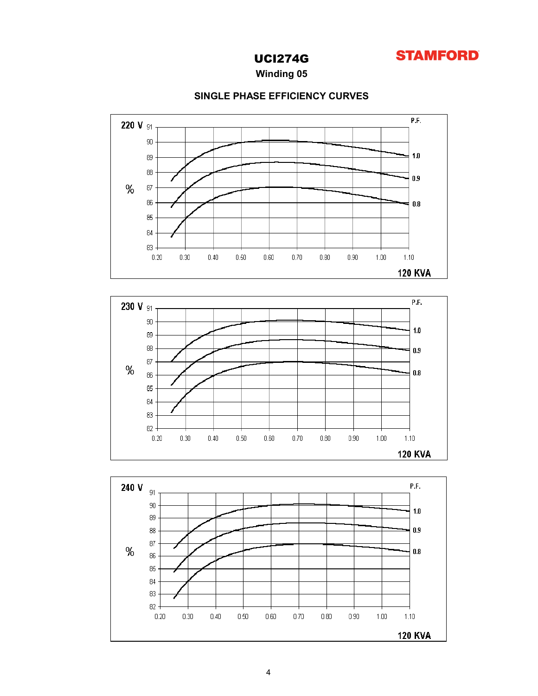

Winding 05



### SINGLE PHASE EFFICIENCY CURVES



83 82  $0.20\,$ 

 $0.30\,$ 

 $0.40\,$ 

 $0.50\,$ 

 $0.60\,$ 

 $0.70\,$ 

 $0.80\,$ 

 $0.90\,$ 

 $1.00$ 

 $1.10$ **120 KVA**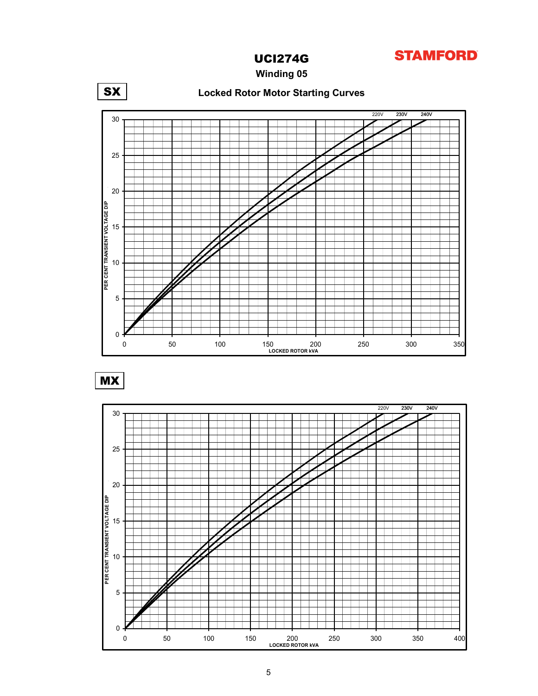

Winding 05



MX

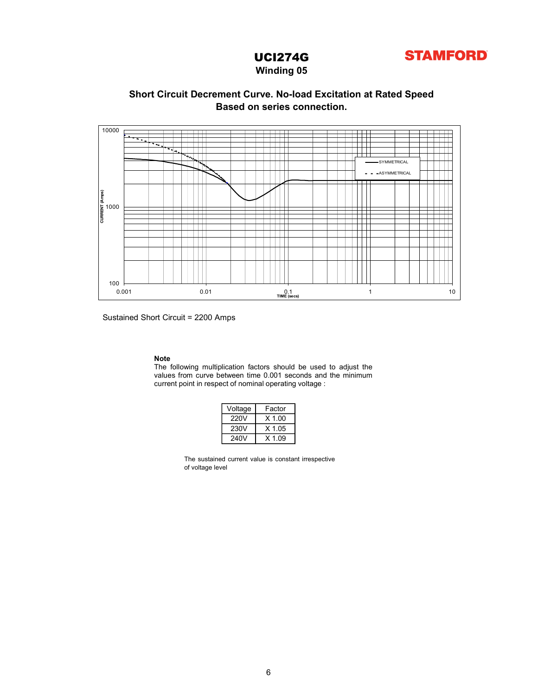

### Winding 05

### Based on series connection. Short Circuit Decrement Curve. No-load Excitation at Rated Speed



Sustained Short Circuit = 2200 Amps

Note<br>The following multiplication factors should be used to adjust the

| Voltage | Factor   |
|---------|----------|
| 220V    | $X$ 1.00 |
| 230V    | $X$ 1.05 |
| 240V    | $X$ 1.09 |

The sustained current value is constant irrespective of voltage level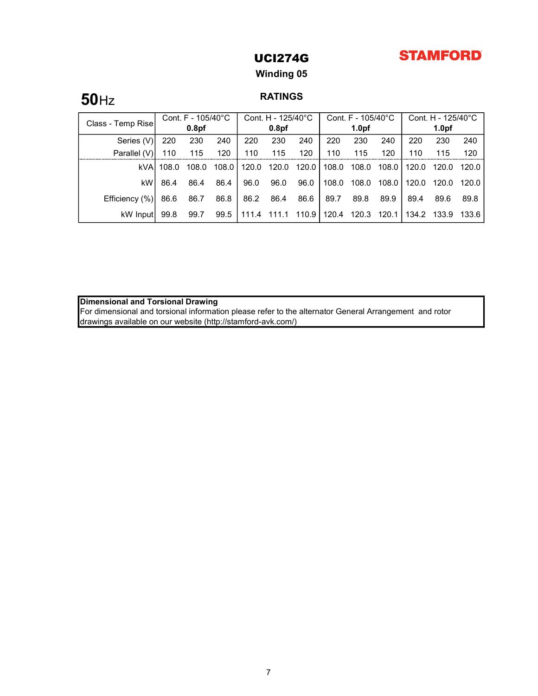## **STAMFORD**

## UCI274G

### Winding 05

# **50**Hz RATINGS

| Class - Temp Rise | Cont. F - 105/40°C |                   | Cont. H - 125/40°C |       | Cont. $F - 105/40^{\circ}$ C |         |       | Cont. H - 125/40°C |       |         |                   |         |
|-------------------|--------------------|-------------------|--------------------|-------|------------------------------|---------|-------|--------------------|-------|---------|-------------------|---------|
|                   |                    | 0.8 <sub>pf</sub> |                    |       | 0.8 <sub>pf</sub>            |         |       | 1.0 <sub>pf</sub>  |       |         | 1.0 <sub>pf</sub> |         |
| Series (V)        | 220                | 230               | 240                | 220   | 230                          | 240     | 220   | 230                | 240   | 220     | 230               | 240     |
| Parallel (V)      | 110                | 115               | 120                | 110   | 115                          | 120     | 110   | 115                | 120   | 110     | 115               | 120     |
| kVA               | 108.0              | 108.0             | 108.0              | 120.0 | 120.0                        | 120.0   | 108.0 | 108.0              | 108.0 | 120.0   | 120.0             | 120.0 l |
| kW                | 86.4               | 86.4              | 86.4               | 96.0  | 96.0                         | 96.0    | 108.0 | 108.0              | 108.0 | 120.0   | 120.0             | 120.0 l |
| Efficiency (%)    | 86.6               | 86.7              | 86.8               | 86.2  | 86.4                         | 86.6    | 89.7  | 89.8               | 89.9  | 89.4    | 89.6              | 89.8    |
| kW Inputl         | 99.8               | 99.7              | 99.5               | 111.4 | 111.1                        | 110.9 l | 120.4 | 120.3              | 120.1 | . 134.2 | 133.9             | 133.6 l |

Dimensional and Torsional Drawing

For dimensional and torsional information please refer to the alternator General Arrangement and rotor drawings available on our website (http://stamford-avk.com/)